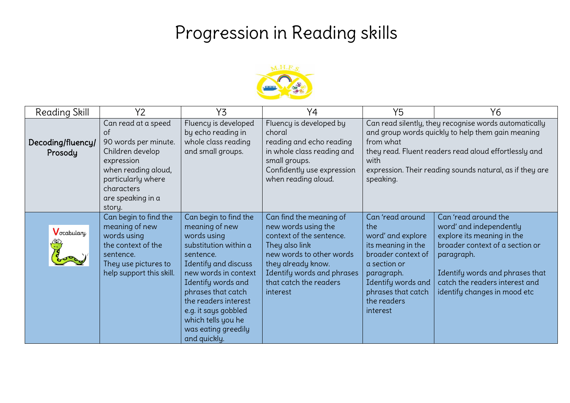## Progression in Reading skills



| <b>Reading Skill</b>         | Y2                                                                                                                                                                            | Y3                                                                                                                                                                                                                                                                                                    | Y4                                                                                                                                                                                                                 | Y <sub>5</sub>                                                                                                                                                                                | Y6                                                                                                                                                                                                                                  |
|------------------------------|-------------------------------------------------------------------------------------------------------------------------------------------------------------------------------|-------------------------------------------------------------------------------------------------------------------------------------------------------------------------------------------------------------------------------------------------------------------------------------------------------|--------------------------------------------------------------------------------------------------------------------------------------------------------------------------------------------------------------------|-----------------------------------------------------------------------------------------------------------------------------------------------------------------------------------------------|-------------------------------------------------------------------------------------------------------------------------------------------------------------------------------------------------------------------------------------|
| Decoding/fluency/<br>Prosody | Can read at a speed<br>of<br>90 words per minute.<br>Children develop<br>expression<br>when reading aloud,<br>particularly where<br>characters<br>are speaking in a<br>story. | Fluency is developed<br>by echo reading in<br>whole class reading<br>and small groups.                                                                                                                                                                                                                | Fluency is developed by<br>choral<br>reading and echo reading<br>in whole class reading and<br>small groups.<br>Confidently use expression<br>when reading aloud.                                                  | from what<br>with<br>speaking.                                                                                                                                                                | Can read silently, they recognise words automatically<br>and group words quickly to help them gain meaning<br>they read. Fluent readers read aloud effortlessly and<br>expression. Their reading sounds natural, as if they are     |
| Vocabulary<br>$\bigoplus$    | Can begin to find the<br>meaning of new<br>words using<br>the context of the<br>sentence.<br>They use pictures to<br>help support this skill.                                 | Can begin to find the<br>meaning of new<br>words using<br>substitution within a<br>sentence.<br>Identify and discuss<br>new words in context<br>Identify words and<br>phrases that catch<br>the readers interest<br>e.g. it says gobbled<br>which tells you he<br>was eating greedily<br>and quickly. | Can find the meaning of<br>new words using the<br>context of the sentence.<br>They also link<br>new words to other words<br>they already know.<br>Identify words and phrases<br>that catch the readers<br>interest | Can 'read around<br>the<br>word' and explore<br>its meaning in the<br>broader context of<br>a section or<br>paragraph.<br>Identify words and<br>phrases that catch<br>the readers<br>interest | Can 'read around the<br>word' and independently<br>explore its meaning in the<br>broader context of a section or<br>paragraph.<br>Identify words and phrases that<br>catch the readers interest and<br>identify changes in mood etc |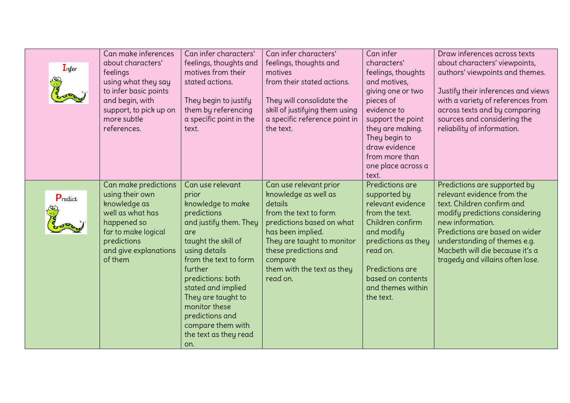| Infer   | Can make inferences<br>about characters'<br>feelings<br>using what they say<br>to infer basic points<br>and begin, with<br>support, to pick up on<br>more subtle<br>references. | Can infer characters'<br>feelings, thoughts and<br>motives from their<br>stated actions.<br>They begin to justify<br>them by referencing<br>a specific point in the<br>text.                                                                                                                                                         | Can infer characters'<br>feelings, thoughts and<br>motives<br>from their stated actions.<br>They will consolidate the<br>skill of justifying them using<br>a specific reference point in<br>the text.                                            | Can infer<br>characters'<br>feelings, thoughts<br>and motives,<br>giving one or two<br>pieces of<br>evidence to<br>support the point<br>they are making.<br>They begin to<br>draw evidence<br>from more than<br>one place across a<br>text. | Draw inferences across texts<br>about characters' viewpoints,<br>authors' viewpoints and themes.<br>Justify their inferences and views<br>with a variety of references from<br>across texts and by comparing<br>sources and considering the<br>reliability of information.              |
|---------|---------------------------------------------------------------------------------------------------------------------------------------------------------------------------------|--------------------------------------------------------------------------------------------------------------------------------------------------------------------------------------------------------------------------------------------------------------------------------------------------------------------------------------|--------------------------------------------------------------------------------------------------------------------------------------------------------------------------------------------------------------------------------------------------|---------------------------------------------------------------------------------------------------------------------------------------------------------------------------------------------------------------------------------------------|-----------------------------------------------------------------------------------------------------------------------------------------------------------------------------------------------------------------------------------------------------------------------------------------|
| Predict | Can make predictions<br>using their own<br>knowledge as<br>well as what has<br>happened so<br>far to make logical<br>predictions<br>and give explanations<br>of them            | Can use relevant<br>prior<br>knowledge to make<br>predictions<br>and justify them. They<br>are<br>taught the skill of<br>using details<br>from the text to form<br>further<br>predictions: both<br>stated and implied<br>They are taught to<br>monitor these<br>predictions and<br>compare them with<br>the text as they read<br>on. | Can use relevant prior<br>knowledge as well as<br>details<br>from the text to form<br>predictions based on what<br>has been implied.<br>They are taught to monitor<br>these predictions and<br>compare<br>them with the text as they<br>read on. | Predictions are<br>supported by<br>relevant evidence<br>from the text.<br>Children confirm<br>and modify<br>predictions as they<br>read on.<br>Predictions are<br>based on contents<br>and themes within<br>the text.                       | Predictions are supported by<br>relevant evidence from the<br>text. Children confirm and<br>modify predictions considering<br>new information.<br>Predictions are based on wider<br>understanding of themes e.g.<br>Macbeth will die because it's a<br>tragedy and villains often lose. |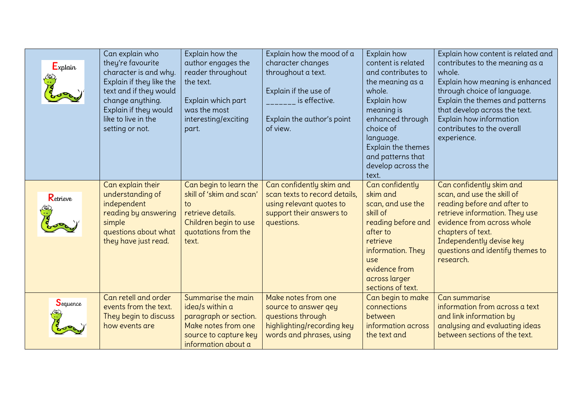| $E_{xplain}$ | Can explain who<br>they're favourite<br>character is and why.<br>Explain if they like the<br>text and if they would<br>change anything.<br>Explain if they would<br>like to live in the<br>setting or not. | Explain how the<br>author engages the<br>reader throughout<br>the text.<br>Explain which part<br>was the most<br>interesting/exciting<br>part. | Explain how the mood of a<br>character changes<br>throughout a text.<br>Explain if the use of<br><b>Example 15 is effective.</b><br>Explain the author's point<br>of view. | Explain how<br>content is related<br>and contributes to<br>the meaning as a<br>whole.<br>Explain how<br>meaning is<br>enhanced through<br>choice of<br>language.<br>Explain the themes<br>and patterns that<br>develop across the<br>text. | Explain how content is related and<br>contributes to the meaning as a<br>whole.<br>Explain how meaning is enhanced<br>through choice of language.<br>Explain the themes and patterns<br>that develop across the text.<br>Explain how information<br>contributes to the overall<br>experience. |
|--------------|------------------------------------------------------------------------------------------------------------------------------------------------------------------------------------------------------------|------------------------------------------------------------------------------------------------------------------------------------------------|----------------------------------------------------------------------------------------------------------------------------------------------------------------------------|--------------------------------------------------------------------------------------------------------------------------------------------------------------------------------------------------------------------------------------------|-----------------------------------------------------------------------------------------------------------------------------------------------------------------------------------------------------------------------------------------------------------------------------------------------|
| Retrieve     | Can explain their<br>understanding of<br>independent<br>reading by answering<br>simple<br>questions about what<br>they have just read.                                                                     | Can begin to learn the<br>skill of 'skim and scan'<br>to<br>retrieve details.<br>Children begin to use<br>quotations from the<br>text.         | Can confidently skim and<br>scan texts to record details,<br>using relevant quotes to<br>support their answers to<br>questions.                                            | Can confidently<br>skim and<br>scan, and use the<br>skill of<br>reading before and<br>after to<br>retrieve<br>information. They<br>use<br>evidence from<br>across larger<br>sections of text.                                              | Can confidently skim and<br>scan, and use the skill of<br>reading before and after to<br>retrieve information. They use<br>evidence from across whole<br>chapters of text.<br>Independently devise key<br>questions and identify themes to<br>research.                                       |
| Sequence     | Can retell and order<br>events from the text.<br>They begin to discuss<br>how events are                                                                                                                   | Summarise the main<br>idea/s within a<br>paragraph or section.<br>Make notes from one<br>source to capture key<br>information about a          | Make notes from one<br>source to answer qey<br>questions through<br>highlighting/recording key<br>words and phrases, using                                                 | Can begin to make<br>connections<br>between<br>information across<br>the text and                                                                                                                                                          | Can summarise<br>information from across a text<br>and link information by<br>analysing and evaluating ideas<br>between sections of the text.                                                                                                                                                 |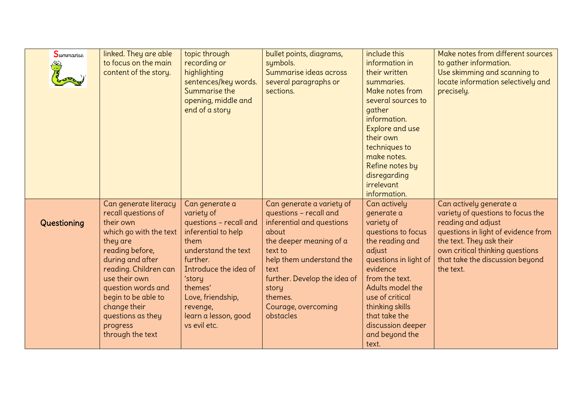| Summarise<br>١ | linked. They are able<br>to focus on the main<br>content of the story.                                                                                                                                                                                                                             | topic through<br>recording or<br>highlighting<br>sentences/key words.<br>Summarise the<br>opening, middle and<br>end of a story                                                                                                                 | bullet points, diagrams,<br>symbols.<br>Summarise ideas across<br>several paragraphs or<br>sections.                                                                                                                                                        | include this<br>information in<br>their written<br>summaries.<br>Make notes from<br>several sources to<br>gather<br>information.<br>Explore and use<br>their own<br>techniques to<br>make notes.<br>Refine notes by<br>disregarding<br>irrelevant<br>information.             | Make notes from different sources<br>to gather information.<br>Use skimming and scanning to<br>locate information selectively and<br>precisely.                                                                                          |
|----------------|----------------------------------------------------------------------------------------------------------------------------------------------------------------------------------------------------------------------------------------------------------------------------------------------------|-------------------------------------------------------------------------------------------------------------------------------------------------------------------------------------------------------------------------------------------------|-------------------------------------------------------------------------------------------------------------------------------------------------------------------------------------------------------------------------------------------------------------|-------------------------------------------------------------------------------------------------------------------------------------------------------------------------------------------------------------------------------------------------------------------------------|------------------------------------------------------------------------------------------------------------------------------------------------------------------------------------------------------------------------------------------|
| Questioning    | Can generate literacy<br>recall questions of<br>their own<br>which go with the text<br>they are<br>reading before,<br>during and after<br>reading. Children can<br>use their own<br>question words and<br>begin to be able to<br>change their<br>questions as they<br>progress<br>through the text | Can generate a<br>variety of<br>questions - recall and<br>inferential to help<br>them<br>understand the text<br>further.<br>Introduce the idea of<br>'story<br>themes'<br>Love, friendship,<br>revenge,<br>learn a lesson, good<br>vs evil etc. | Can generate a variety of<br>questions - recall and<br>inferential and questions<br>about<br>the deeper meaning of a<br>text to<br>help them understand the<br>text<br>further. Develop the idea of<br>story<br>themes.<br>Courage, overcoming<br>obstacles | Can actively<br>generate a<br>variety of<br>questions to focus<br>the reading and<br>adjust<br>questions in light of<br>evidence<br>from the text.<br>Adults model the<br>use of critical<br>thinking skills<br>that take the<br>discussion deeper<br>and beyond the<br>text. | Can actively generate a<br>variety of questions to focus the<br>reading and adjust<br>questions in light of evidence from<br>the text. They ask their<br>own critical thinking questions<br>that take the discussion beyond<br>the text. |